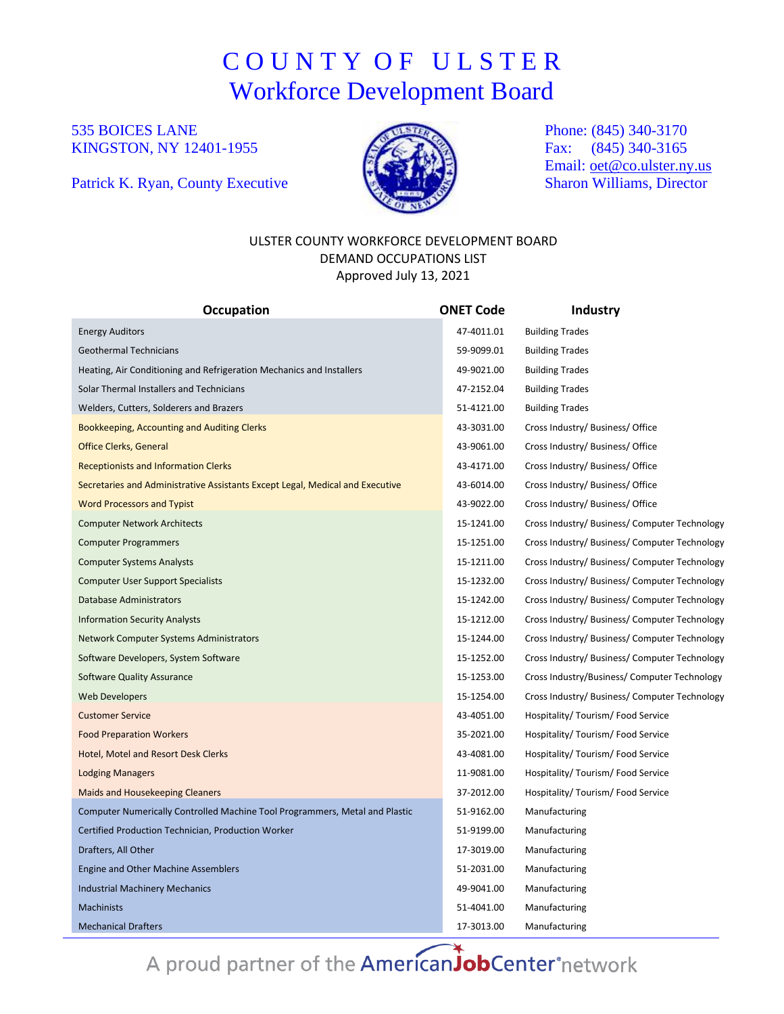# C O U N T Y O F U L S T E R Workforce Development Board

### 535 BOICES LANE KINGSTON, NY 12401-1955

Patrick K. Ryan, County Executive



Phone: (845) 340-3170 Fax: (845) 340-3165 Email: [oet@co.ulster.ny.us](mailto:oet@co.ulster.ny.us) Sharon Williams, Director

#### ULSTER COUNTY WORKFORCE DEVELOPMENT BOARD DEMAND OCCUPATIONS LIST Approved July 13, 2021

| <b>Occupation</b>                                                             | <b>ONET Code</b> | Industry                                      |  |
|-------------------------------------------------------------------------------|------------------|-----------------------------------------------|--|
| <b>Energy Auditors</b>                                                        | 47-4011.01       | <b>Building Trades</b>                        |  |
| <b>Geothermal Technicians</b>                                                 | 59-9099.01       | <b>Building Trades</b>                        |  |
| Heating, Air Conditioning and Refrigeration Mechanics and Installers          | 49-9021.00       | <b>Building Trades</b>                        |  |
| Solar Thermal Installers and Technicians                                      | 47-2152.04       | <b>Building Trades</b>                        |  |
| Welders, Cutters, Solderers and Brazers                                       | 51-4121.00       | <b>Building Trades</b>                        |  |
| Bookkeeping, Accounting and Auditing Clerks                                   | 43-3031.00       | Cross Industry/ Business/ Office              |  |
| <b>Office Clerks, General</b>                                                 | 43-9061.00       | Cross Industry/ Business/ Office              |  |
| <b>Receptionists and Information Clerks</b>                                   | 43-4171.00       | Cross Industry/ Business/ Office              |  |
| Secretaries and Administrative Assistants Except Legal, Medical and Executive | 43-6014.00       | Cross Industry/ Business/ Office              |  |
| <b>Word Processors and Typist</b>                                             | 43-9022.00       | Cross Industry/ Business/ Office              |  |
| <b>Computer Network Architects</b>                                            | 15-1241.00       | Cross Industry/ Business/ Computer Technology |  |
| <b>Computer Programmers</b>                                                   | 15-1251.00       | Cross Industry/ Business/ Computer Technology |  |
| <b>Computer Systems Analysts</b>                                              | 15-1211.00       | Cross Industry/ Business/ Computer Technology |  |
| <b>Computer User Support Specialists</b>                                      | 15-1232.00       | Cross Industry/ Business/ Computer Technology |  |
| <b>Database Administrators</b>                                                | 15-1242.00       | Cross Industry/ Business/ Computer Technology |  |
| <b>Information Security Analysts</b>                                          | 15-1212.00       | Cross Industry/ Business/ Computer Technology |  |
| Network Computer Systems Administrators                                       | 15-1244.00       | Cross Industry/ Business/ Computer Technology |  |
| Software Developers, System Software                                          | 15-1252.00       | Cross Industry/ Business/ Computer Technology |  |
| <b>Software Quality Assurance</b>                                             | 15-1253.00       | Cross Industry/Business/ Computer Technology  |  |
| <b>Web Developers</b>                                                         | 15-1254.00       | Cross Industry/ Business/ Computer Technology |  |
| <b>Customer Service</b>                                                       | 43-4051.00       | Hospitality/Tourism/Food Service              |  |
| <b>Food Preparation Workers</b>                                               | 35-2021.00       | Hospitality/ Tourism/ Food Service            |  |
| Hotel, Motel and Resort Desk Clerks                                           | 43-4081.00       | Hospitality/Tourism/Food Service              |  |
| <b>Lodging Managers</b>                                                       | 11-9081.00       | Hospitality/ Tourism/ Food Service            |  |
| <b>Maids and Housekeeping Cleaners</b>                                        | 37-2012.00       | Hospitality/ Tourism/ Food Service            |  |
| Computer Numerically Controlled Machine Tool Programmers, Metal and Plastic   | 51-9162.00       | Manufacturing                                 |  |
| Certified Production Technician, Production Worker                            | 51-9199.00       | Manufacturing                                 |  |
| Drafters, All Other                                                           | 17-3019.00       | Manufacturing                                 |  |
| Engine and Other Machine Assemblers                                           | 51-2031.00       | Manufacturing                                 |  |
| <b>Industrial Machinery Mechanics</b>                                         | 49-9041.00       | Manufacturing                                 |  |
| <b>Machinists</b>                                                             | 51-4041.00       | Manufacturing                                 |  |
| <b>Mechanical Drafters</b>                                                    | 17-3013.00       | Manufacturing                                 |  |

A proud partner of the AmericanJobCenter®network